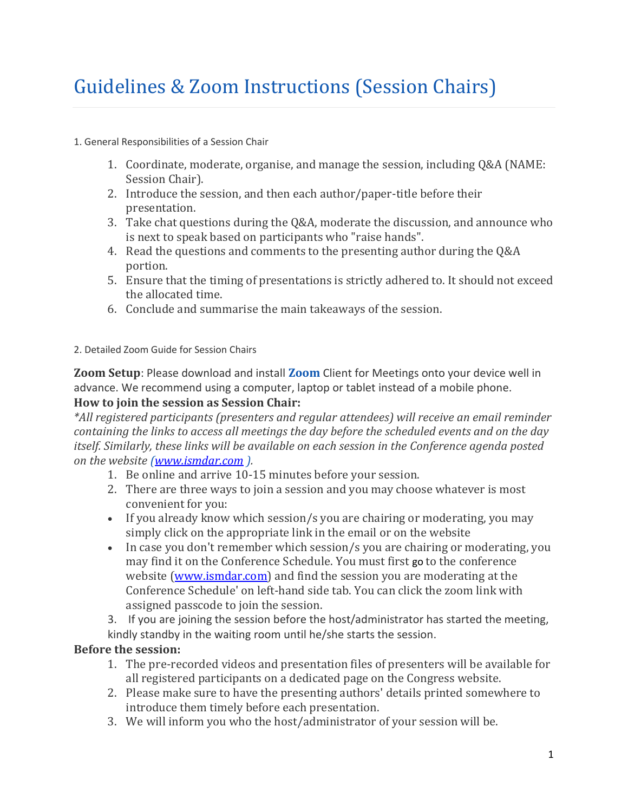## [Guidelines & Zoom Instructions \(Session Chairs\)](https://doha2020.isocarp.org/154-how-to-navigate/159-zoom-moderators)

1. General Responsibilities of a Session Chair

- 1. Coordinate, moderate, organise, and manage the session, including Q&A (NAME: Session Chair).
- 2. Introduce the session, and then each author/paper-title before their presentation.
- 3. Take chat questions during the Q&A, moderate the discussion, and announce who is next to speak based on participants who "raise hands".
- 4. Read the questions and comments to the presenting author during the Q&A portion.
- 5. Ensure that the timing of presentations is strictly adhered to. It should not exceed the allocated time.
- 6. Conclude and summarise the main takeaways of the session.

2. Detailed Zoom Guide for Session Chairs

**Zoom Setup**: Please download and install **[Zoom](https://zoom.us/download#client_4meeting)** Client for Meetings onto your device well in advance. We recommend using a computer, laptop or tablet instead of a mobile phone. **How to join the session as Session Chair:**

*\*All registered participants (presenters and regular attendees) will receive an email reminder containing the links to access all meetings the day before the scheduled events and on the day itself. Similarly, these links will be available on each session in the [Conference](https://doha2020.isocarp.org/programme/discussions/program-schedule/program/11/plenary-event-post-oil-city-planning-for-urban-green-deals) agenda posted on the website [\(www.ismdar.com](http://www.ismdar.com/) ).*

- 1. Be online and arrive 10-15 minutes before your session.
- 2. There are three ways to join a session and you may choose whatever is most convenient for you:
- If you already know which session/s you are chairing or moderating, you may simply click on the appropriate link in the email or on the website
- In case you don't remember which session/s you are chairing or moderating, you may find it on the Conference Schedule. You must first go to the conference website [\(www.ismdar.com\)](http://www.ismdar.com/) and find the session you are moderating at the Conference Schedule' on left-hand side tab. You can click the zoom link with assigned passcode to join the session.
- 3. If you are joining the session before the host/administrator has started the meeting, kindly standby in the waiting room until he/she starts the session.

## **Before the session:**

- 1. The pre-recorded videos and presentation files of presenters will be available for all registered participants on a dedicated page on the Congress website.
- 2. Please make sure to have the presenting authors' details printed somewhere to introduce them timely before each presentation.
- 3. We will inform you who the host/administrator of your session will be.